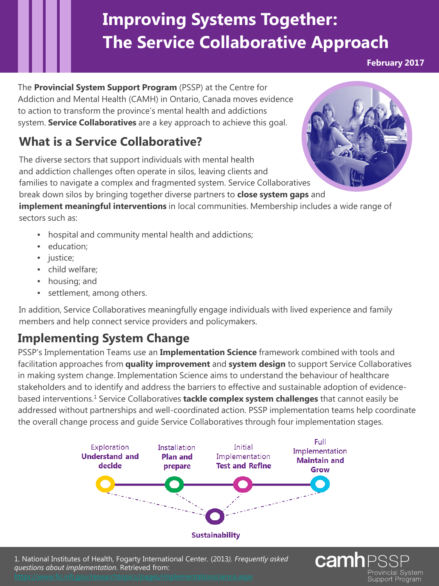# **Improving Systems Together: The Service Collaborative Approach**

**February 2017**

The **Provincial System Support Program** (PSSP) at the Centre for Addiction and Mental Health (CAMH) in Ontario, Canada moves evidence to action to transform the province's mental health and addictions system. **Service Collaboratives** are a key approach to achieve this goal.

## **What is a Service Collaborative?**

The diverse sectors that support individuals with mental health and addiction challenges often operate in silos, leaving clients and families to navigate a complex and fragmented system. Service Collaboratives break down silos by bringing together diverse partners to **close system gaps** and

**implement meaningful interventions** in local communities. Membership includes a wide range of sectors such as:

- hospital and community mental health and addictions;
- education;
- justice;
- child welfare;
- housing; and
- settlement, among others.

In addition, Service Collaboratives meaningfully engage individuals with lived experience and family members and help connect service providers and policymakers.

## **Implementing System Change**

PSSP's Implementation Teams use an **Implementation Science** framework combined with tools and facilitation approaches from **quality improvement** and **system design** to support Service Collaboratives in making system change. Implementation Science aims to understand the behaviour of healthcare stakeholders and to identify and address the barriers to effective and sustainable adoption of evidencebased interventions.1 Service Collaboratives **tackle complex system challenges** that cannot easily be addressed without partnerships and well-coordinated action. PSSP implementation teams help coordinate the overall change process and guide Service Collaboratives through four implementation stages.



1. National Institutes of Health, Fogarty International Center. (2013*). Frequently asked questions about implementation*. Retrieved from: